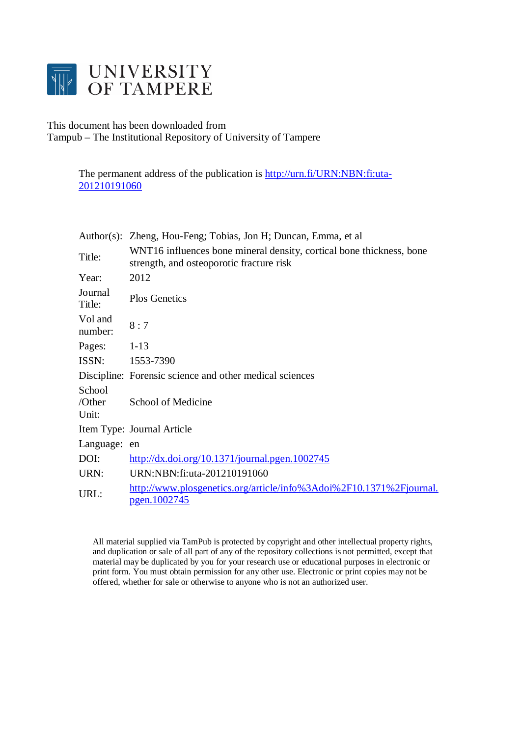

# This document has been downloaded from Tampub – The Institutional Repository of University of Tampere

The permanent address of the publication is [http://urn.fi/URN:NBN:fi:uta-](http://urn.fi/URN:NBN:fi:uta-201210191060)[201210191060](http://urn.fi/URN:NBN:fi:uta-201210191060)

|                           | Author(s): Zheng, Hou-Feng; Tobias, Jon H; Duncan, Emma, et al                                                   |
|---------------------------|------------------------------------------------------------------------------------------------------------------|
| Title:                    | WNT16 influences bone mineral density, cortical bone thickness, bone<br>strength, and osteoporotic fracture risk |
| Year:                     | 2012                                                                                                             |
| Journal<br>Title:         | <b>Plos Genetics</b>                                                                                             |
| Vol and<br>number:        | 8:7                                                                                                              |
| Pages:                    | $1-13$                                                                                                           |
| ISSN:                     | 1553-7390                                                                                                        |
|                           | Discipline: Forensic science and other medical sciences                                                          |
| School<br>/Other<br>Unit: | School of Medicine                                                                                               |
|                           | Item Type: Journal Article                                                                                       |
| Language: en              |                                                                                                                  |
| DOI:                      | $\frac{\text{http://dx.doi.org/10.1371/journal.pgen.1002745}}{$                                                  |
| URN:                      | URN:NBN:fi:uta-201210191060                                                                                      |
| URL:                      | http://www.plosgenetics.org/article/info%3Adoi%2F10.1371%2Fjournal.<br>pgen.1002745                              |

All material supplied via TamPub is protected by copyright and other intellectual property rights, and duplication or sale of all part of any of the repository collections is not permitted, except that material may be duplicated by you for your research use or educational purposes in electronic or print form. You must obtain permission for any other use. Electronic or print copies may not be offered, whether for sale or otherwise to anyone who is not an authorized user.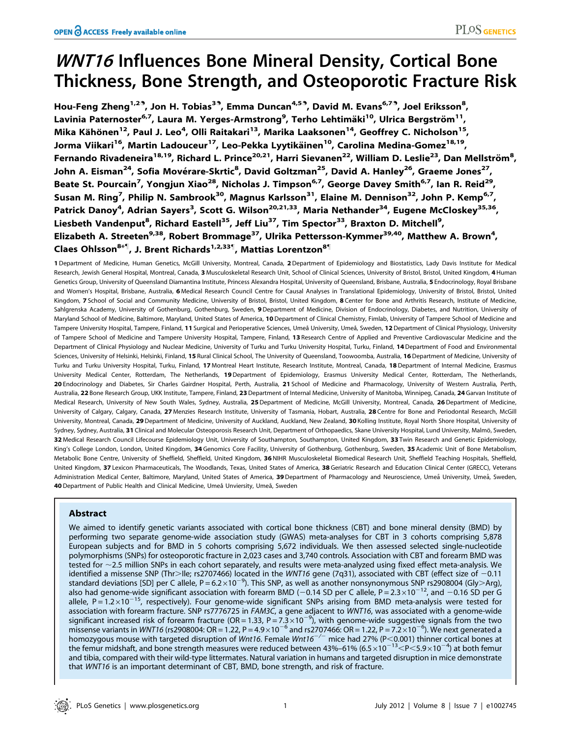# WNT16 Influences Bone Mineral Density, Cortical Bone Thickness, Bone Strength, and Osteoporotic Fracture Risk

Hou-Feng Zheng<sup>1,23</sup>, Jon H. Tobias<sup>39</sup>, Emma Duncan<sup>4,53</sup>, David M. Evans<sup>6,79</sup>, Joel Eriksson<sup>8</sup>, Lavinia Paternoster<sup>6,7</sup>, Laura M. Yerges-Armstrong<sup>9</sup>, Terho Lehtimäki<sup>10</sup>, Ulrica Bergström<sup>11</sup>, Mika Kähönen<sup>12</sup>, Paul J. Leo<sup>4</sup>, Olli Raitakari<sup>13</sup>, Marika Laaksonen<sup>14</sup>, Geoffrey C. Nicholson<sup>15</sup>, Jorma Viikari<sup>16</sup>, Martin Ladouceur<sup>17</sup>, Leo-Pekka Lyytikäinen<sup>10</sup>, Carolina Medina-Gomez<sup>18,19</sup>, Fernando Rivadeneira<sup>18,19</sup>, Richard L. Prince<sup>20,21</sup>, Harri Sievanen<sup>22</sup>, William D. Leslie<sup>23</sup>, Dan Mellström<sup>8</sup>, John A. Eisman<sup>24</sup>, Sofia Movérare-Skrtic<sup>8</sup>, David Goltzman<sup>25</sup>, David A. Hanley<sup>26</sup>, Graeme Jones<sup>27</sup>, Beate St. Pourcain<sup>7</sup>, Yongjun Xiao<sup>28</sup>, Nicholas J. Timpson<sup>6,7</sup>, George Davey Smith<sup>6,7</sup>, Ian R. Reid<sup>29</sup>, Susan M. Ring<sup>7</sup>, Philip N. Sambrook<sup>30</sup>, Magnus Karlsson<sup>31</sup>, Elaine M. Dennison<sup>32</sup>, John P. Kemp<sup>6,7</sup>, Patrick Danoy<sup>4</sup>, Adrian Sayers<sup>3</sup>, Scott G. Wilson<sup>20,21,33</sup>, Maria Nethander<sup>34</sup>, Eugene McCloskey<sup>35,36</sup>, Liesbeth Vandenput<sup>8</sup>, Richard Eastell<sup>35</sup>, Jeff Liu<sup>37</sup>, Tim Spector<sup>33</sup>, Braxton D. Mitchell<sup>9</sup>, Elizabeth A. Streeten<sup>9,38</sup>, Robert Brommage<sup>37</sup>, Ulrika Pettersson-Kymmer<sup>39,40</sup>, Matthew A. Brown<sup>4</sup>, Claes Ohlsson<sup>8\*¶</sup>, J. Brent Richards<sup>1,2,33¶</sup>, Mattias Lorentzon<sup>8¶</sup>

1 Department of Medicine, Human Genetics, McGill University, Montreal, Canada, 2Department of Epidemiology and Biostatistics, Lady Davis Institute for Medical Research, Jewish General Hospital, Montreal, Canada, 3 Musculoskeletal Research Unit, School of Clinical Sciences, University of Bristol, Bristol, United Kingdom, 4 Human Genetics Group, University of Queensland Diamantina Institute, Princess Alexandra Hospital, University of Queensland, Brisbane, Australia, 5 Endocrinology, Royal Brisbane and Women's Hospital, Brisbane, Australia, 6 Medical Research Council Centre for Causal Analyses in Translational Epidemiology, University of Bristol, Bristol, United Kingdom, 7 School of Social and Community Medicine, University of Bristol, Bristol, United Kingdom, 8 Center for Bone and Arthritis Research, Institute of Medicine, Sahlgrenska Academy, University of Gothenburg, Gothenburg, Sweden, 9 Department of Medicine, Division of Endocrinology, Diabetes, and Nutrition, University of Maryland School of Medicine, Baltimore, Maryland, United States of America, 10 Department of Clinical Chemistry, Fimlab, University of Tampere School of Medicine and Tampere University Hospital, Tampere, Finland, 11 Surgical and Perioperative Sciences, Umeå University, Umeå, Sweden, 12 Department of Clinical Physiology, University of Tampere School of Medicine and Tampere University Hospital, Tampere, Finland, 13 Research Centre of Applied and Preventive Cardiovascular Medicine and the Department of Clinical Physiology and Nuclear Medicine, University of Turku and Turku University Hospital, Turku, Finland, 14 Department of Food and Environmental Sciences, University of Helsinki, Helsinki, Finland, 15 Rural Clinical School, The University of Queensland, Toowoomba, Australia, 16 Department of Medicine, University of Turku and Turku University Hospital, Turku, Finland, 17 Montreal Heart Institute, Research Institute, Montreal, Canada, 18 Department of Internal Medicine, Erasmus University Medical Center, Rotterdam, The Netherlands, 19 Department of Epidemiology, Erasmus University Medical Center, Rotterdam, The Netherlands, 20 Endocrinology and Diabetes, Sir Charles Gairdner Hospital, Perth, Australia, 21 School of Medicine and Pharmacology, University of Western Australia, Perth, Australia, 22 Bone Research Group, UKK Institute, Tampere, Finland, 23 Department of Internal Medicine, University of Manitoba, Winnipeg, Canada, 24 Garvan Institute of Medical Research, University of New South Wales, Sydney, Australia, 25 Department of Medicine, McGill University, Montreal, Canada, 26 Department of Medicine, University of Calgary, Calgary, Canada, 27 Menzies Research Institute, University of Tasmania, Hobart, Australia, 28 Centre for Bone and Periodontal Research, McGill University, Montreal, Canada, 29 Department of Medicine, University of Auckland, Auckland, New Zealand, 30 Kolling Institute, Royal North Shore Hospital, University of Sydney, Sydney, Australia, 31 Clinical and Molecular Osteoporosis Research Unit, Department of Orthopaedics, Skane University Hospital, Lund University, Malmö, Sweden, 32 Medical Research Council Lifecourse Epidemiology Unit, University of Southampton, Southampton, United Kingdom, 33 Twin Research and Genetic Epidemiology, King's College London, London, United Kingdom, 34 Genomics Core Facility, University of Gothenburg, Gothenburg, Sweden, 35 Academic Unit of Bone Metabolism, Metabolic Bone Centre, University of Sheffield, Sheffield, United Kingdom, 36 NIHR Musculoskeletal Biomedical Research Unit, Sheffield Teaching Hospitals, Sheffield, United Kingdom, 37 Lexicon Pharmaceuticals, The Woodlands, Texas, United States of America, 38 Geriatric Research and Education Clinical Center (GRECC), Veterans Administration Medical Center, Baltimore, Maryland, United States of America, 39 Department of Pharmacology and Neuroscience, Umeå University, Umeå, Sweden, 40 Department of Public Health and Clinical Medicine, Umeå Unviersity, Umeå, Sweden

# Abstract

We aimed to identify genetic variants associated with cortical bone thickness (CBT) and bone mineral density (BMD) by performing two separate genome-wide association study (GWAS) meta-analyses for CBT in 3 cohorts comprising 5,878 European subjects and for BMD in 5 cohorts comprising 5,672 individuals. We then assessed selected single-nucleotide polymorphisms (SNPs) for osteoporotic fracture in 2,023 cases and 3,740 controls. Association with CBT and forearm BMD was tested for  $\sim$  2.5 million SNPs in each cohort separately, and results were meta-analyzed using fixed effect meta-analysis. We identified a missense SNP (Thr>Ile; rs2707466) located in the WNT16 gene (7q31), associated with CBT (effect size of  $-0.11$ standard deviations [SD] per C allele, P = 6.2 $\times10^{-9}$ ). This SNP, as well as another nonsynonymous SNP rs2908004 (Gly>Arg), also had genome-wide significant association with forearm BMD (-0.14 SD per C allele, P =  $2.3 \times 10^{-12}$ , and -0.16 SD per G allele,  $P = 1.2 \times 10^{-15}$ , respectively). Four genome-wide significant SNPs arising from BMD meta-analysis were tested for association with forearm fracture. SNP rs7776725 in FAM3C, a gene adjacent to WNT16, was associated with a genome-wide significant increased risk of forearm fracture (OR = 1.33, P = 7.3 × 10<sup>-9</sup>), with genome-wide suggestive signals from the two missense variants in WNT16 (rs2908004: OR = 1.22, P = 4.9  $\times$ 10<sup>-6</sup> and rs2707466: OR = 1.22, P = 7.2 $\times$ 10<sup>-6</sup>). We next generated a homozygous mouse with targeted disruption of *Wnt16*. Female *Wnt16<sup>-/-</sup>* mice had 27% (P<0.001) thinner cortical bones at the femur midshaft, and bone strength measures were reduced between 43%–61% (6.5 $\times$ 10 $^{-13}$  $<$ P $<$ 5.9 $\times$ 10 $^{-4}$ ) at both femur and tibia, compared with their wild-type littermates. Natural variation in humans and targeted disruption in mice demonstrate that WNT16 is an important determinant of CBT, BMD, bone strength, and risk of fracture.

**PLOS** GENETICS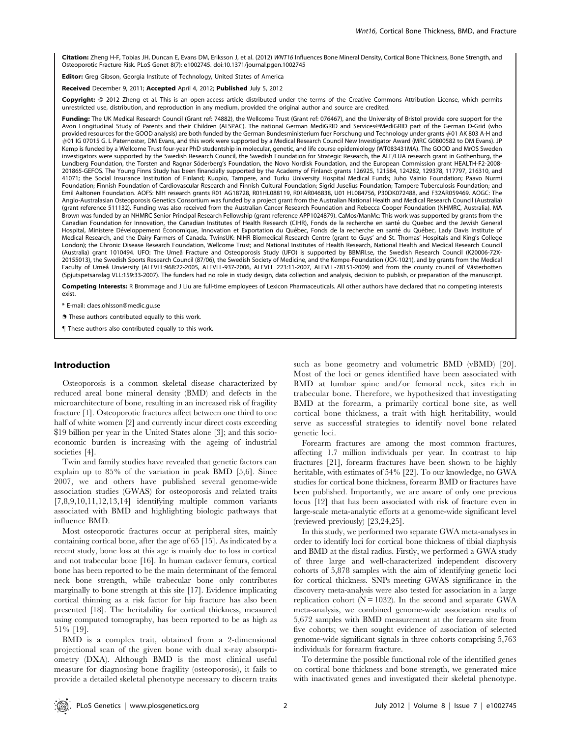Citation: Zheng H-F, Tobias JH, Duncan E, Evans DM, Eriksson J, et al. (2012) WNT16 Influences Bone Mineral Density, Cortical Bone Thickness, Bone Strength, and Osteoporotic Fracture Risk. PLoS Genet 8(7): e1002745. doi:10.1371/journal.pgen.1002745

Editor: Greg Gibson, Georgia Institute of Technology, United States of America

Received December 9, 2011; Accepted April 4, 2012; Published July 5, 2012

**Copyright:** © 2012 Zheng et al. This is an open-access article distributed under the terms of the Creative Commons Attribution License, which permits restricted use, distribution, and reproduction in any medium, provided the original author and source are credited

Funding: The UK Medical Research Council (Grant ref: 74882), the Wellcome Trust (Grant ref: 076467), and the University of Bristol provide core support for the Avon Longitudinal Study of Parents and their Children (ALSPAC). The national German MediGRID and Services@MediGRID part of the German D-Grid (who provided resources for the GOOD analysis) are both funded by the German Bundesministerium fuer Forschung und Technology under grants #01 AK 803 A-H and #01 IG 07015 G. L Paternoster, DM Evans, and this work were supported by a Medical Research Council New Investigator Award (MRC G0800582 to DM Evans). JP Kemp is funded by a Wellcome Trust four-year PhD studentship in molecular, genetic, and life course epidemiology (WT083431MA). The GOOD and MrOS Sweden investigators were supported by the Swedish Research Council, the Swedish Foundation for Strategic Research, the ALF/LUA research grant in Gothenburg, the Lundberg Foundation, the Torsten and Ragnar Söderberg's Foundation, the Novo Nordisk Foundation, and the European Commission grant HEALTH-F2-2008-201865-GEFOS. The Young Finns Study has been financially supported by the Academy of Finland: grants 126925, 121584, 124282, 129378, 117797, 216310, and 41071; the Social Insurance Institution of Finland; Kuopio, Tampere, and Turku University Hospital Medical Funds; Juho Vainio Foundation; Paavo Nurmi Foundation; Finnish Foundation of Cardiovascular Research and Finnish Cultural Foundation; Sigrid Juselius Foundation; Tampere Tuberculosis Foundation; and Emil Aaltonen Foundation. AOFS: NIH research grants R01 AG18728, R01HL088119, R01AR046838, U01 HL084756, P30DK072488, and F32AR059469. AOGC: The Anglo-Australasian Osteoporosis Genetics Consortium was funded by a project grant from the Australian National Health and Medical Research Council (Australia) (grant reference 511132). Funding was also received from the Australian Cancer Research Foundation and Rebecca Cooper Foundation (NHMRC, Australia). MA Brown was funded by an NHMRC Senior Principal Research Fellowship (grant reference APP1024879). CaMos/ManMc: This work was supported by grants from the Canadian Foundation for Innovation, the Canadian Institutes of Health Research (CIHR), Fonds de la recherche en santé du Quebec and the Jewish General Hospital, Ministere Développement Économique, Innovation et Exportation du Québec, Fonds de la recherche en santé du Québec, Lady Davis Institute of Medical Research, and the Dairy Farmers of Canada. TwinsUK: NIHR Biomedical Research Centre (grant to Guys' and St. Thomas' Hospitals and King's College London); the Chronic Disease Research Foundation, Wellcome Trust; and National Institutes of Health Research, National Health and Medical Research Council (Australia) grant 1010494. UFO: The Umea˚ Fracture and Osteoporosis Study (UFO) is supported by BBMRI.se, the Swedish Research Council (K20006-72X-20155013), the Swedish Sports Research Council (87/06), the Swedish Society of Medicine, and the Kempe-Foundation (JCK-1021), and by grants from the Medical Faculty of Umea Unviersity (ALFVLL:968:22-2005, ALFVLL-937-2006, ALFVLL 223:11-2007, ALFVLL-78151-2009) and from the county council of Västerbotten (Spjutspetsanslag VLL:159:33-2007). The funders had no role in study design, data collection and analysis, decision to publish, or preparation of the manuscript.

Competing Interests: R Brommage and J Liu are full-time employees of Lexicon Pharmaceuticals. All other authors have declared that no competing interests exist.

\* E-mail: claes.ohlsson@medic.gu.se

- . These authors contributed equally to this work.
- " These authors also contributed equally to this work.

# Introduction

Osteoporosis is a common skeletal disease characterized by reduced areal bone mineral density (BMD) and defects in the microarchitecture of bone, resulting in an increased risk of fragility fracture [1]. Osteoporotic fractures affect between one third to one half of white women [2] and currently incur direct costs exceeding \$19 billion per year in the United States alone [3]; and this socioeconomic burden is increasing with the ageing of industrial societies [4].

Twin and family studies have revealed that genetic factors can explain up to 85% of the variation in peak BMD [5,6]. Since 2007, we and others have published several genome-wide association studies (GWAS) for osteoporosis and related traits [7,8,9,10,11,12,13,14] identifying multiple common variants associated with BMD and highlighting biologic pathways that influence BMD.

Most osteoporotic fractures occur at peripheral sites, mainly containing cortical bone, after the age of 65 [15]. As indicated by a recent study, bone loss at this age is mainly due to loss in cortical and not trabecular bone [16]. In human cadaver femurs, cortical bone has been reported to be the main determinant of the femoral neck bone strength, while trabecular bone only contributes marginally to bone strength at this site [17]. Evidence implicating cortical thinning as a risk factor for hip fracture has also been presented [18]. The heritability for cortical thickness, measured using computed tomography, has been reported to be as high as 51% [19].

BMD is a complex trait, obtained from a 2-dimensional projectional scan of the given bone with dual x-ray absorptiometry (DXA). Although BMD is the most clinical useful measure for diagnosing bone fragility (osteoporosis), it fails to provide a detailed skeletal phenotype necessary to discern traits such as bone geometry and volumetric BMD (vBMD) [20]. Most of the loci or genes identified have been associated with BMD at lumbar spine and/or femoral neck, sites rich in trabecular bone. Therefore, we hypothesized that investigating BMD at the forearm, a primarily cortical bone site, as well cortical bone thickness, a trait with high heritability, would serve as successful strategies to identify novel bone related genetic loci.

Forearm fractures are among the most common fractures, affecting 1.7 million individuals per year. In contrast to hip fractures [21], forearm fractures have been shown to be highly heritable, with estimates of 54% [22]. To our knowledge, no GWA studies for cortical bone thickness, forearm BMD or fractures have been published. Importantly, we are aware of only one previous locus [12] that has been associated with risk of fracture even in large-scale meta-analytic efforts at a genome-wide significant level (reviewed previously) [23,24,25].

In this study, we performed two separate GWA meta-analyses in order to identify loci for cortical bone thickness of tibial diaphysis and BMD at the distal radius. Firstly, we performed a GWA study of three large and well-characterized independent discovery cohorts of 5,878 samples with the aim of identifying genetic loci for cortical thickness. SNPs meeting GWAS significance in the discovery meta-analysis were also tested for association in a large replication cohort  $(N = 1032)$ . In the second and separate GWA meta-analysis, we combined genome-wide association results of 5,672 samples with BMD measurement at the forearm site from five cohorts; we then sought evidence of association of selected genome-wide significant signals in three cohorts comprising 5,763 individuals for forearm fracture.

To determine the possible functional role of the identified genes on cortical bone thickness and bone strength, we generated mice with inactivated genes and investigated their skeletal phenotype.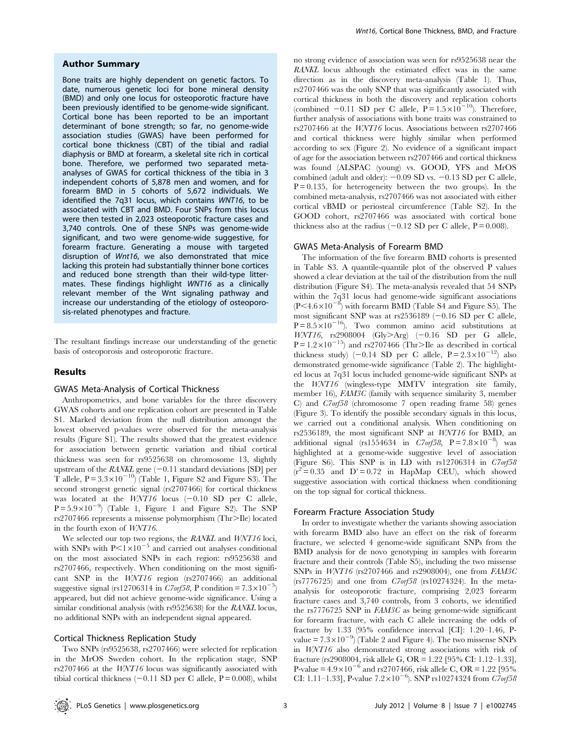## Author Summary

Bone traits are highly dependent on genetic factors. To date, numerous genetic loci for bone mineral density (BMD) and only one locus for osteoporotic fracture have been previously identified to be genome-wide significant. Cortical bone has been reported to be an important determinant of bone strength; so far, no genome-wide association studies (GWAS) have been performed for cortical bone thickness (CBT) of the tibial and radial diaphysis or BMD at forearm, a skeletal site rich in cortical bone. Therefore, we performed two separated metaanalyses of GWAS for cortical thickness of the tibia in 3 independent cohorts of 5,878 men and women, and for forearm BMD in 5 cohorts of 5,672 individuals. We identified the 7q31 locus, which contains WNT16, to be associated with CBT and BMD. Four SNPs from this locus were then tested in 2,023 osteoporotic fracture cases and 3,740 controls. One of these SNPs was genome-wide significant, and two were genome-wide suggestive, for forearm fracture. Generating a mouse with targeted disruption of Wnt16, we also demonstrated that mice lacking this protein had substantially thinner bone cortices and reduced bone strength than their wild-type littermates. These findings highlight WNT16 as a clinically relevant member of the Wnt signaling pathway and increase our understanding of the etiology of osteoporosis-related phenotypes and fracture.

The resultant findings increase our understanding of the genetic basis of osteoporosis and osteoporotic fracture.

# Results

#### GWAS Meta-Analysis of Cortical Thickness

Anthropometrics, and bone variables for the three discovery GWAS cohorts and one replication cohort are presented in Table S1. Marked deviation from the null distribution amongst the lowest observed p-values were observed for the meta-analysis results (Figure S1). The results showed that the greatest evidence for association between genetic variation and tibial cortical thickness was seen for rs9525638 on chromosome 13, slightly upstream of the RANKL gene  $(-0.11$  standard deviations [SD] per T allele,  $P = 3.3 \times 10^{-10}$  (Table 1, Figure S2 and Figure S3). The second strongest genetic signal (rs2707466) for cortical thickness was located at the  $W\!N\!T16$  locus  $(-0.10$  SD per C allele,  $P = 5.9 \times 10^{-9}$  (Table 1, Figure 1 and Figure S2). The SNP  $rs2707466$  represents a missense polymorphism (Thr $>$ Ile) located in the fourth exon of WNT16.

We selected our top two regions, the RANKL and WNT16 loci, with SNPs with  $P<1\times10^{-5}$  and carried out analyses conditional on the most associated SNPs in each region: rs9525638 and rs2707466, respectively. When conditioning on the most significant SNP in the WNT16 region (rs2707466) an additional suggestive signal (rs12706314 in C7orf58, P condition =  $7.3 \times 10^{-5}$ ) appeared, but did not achieve genome-wide significance. Using a similar conditional analysis (with rs9525638) for the RANKL locus, no additional SNPs with an independent signal appeared.

#### Cortical Thickness Replication Study

Two SNPs (rs9525638, rs2707466) were selected for replication in the MrOS Sweden cohort. In the replication stage, SNP rs2707466 at the WNT16 locus was significantly associated with tibial cortical thickness  $(-0.11$  SD per C allele, P = 0.008), whilst

no strong evidence of association was seen for rs9525638 near the RANKL locus although the estimated effect was in the same direction as in the discovery meta-analysis (Table 1). Thus, rs2707466 was the only SNP that was significantly associated with cortical thickness in both the discovery and replication cohorts (combined  $-0.11$  SD per C allele,  $P = 1.5 \times 10^{-10}$ ). Therefore, further analysis of associations with bone traits was constrained to rs2707466 at the WNT16 locus. Associations between rs2707466 and cortical thickness were highly similar when performed according to sex (Figure 2). No evidence of a significant impact of age for the association between rs2707466 and cortical thickness was found (ALSPAC (young) vs. GOOD, YFS and MrOS combined (adult and older):  $-0.09$  SD vs.  $-0.13$  SD per C allele,  $P = 0.135$ , for heterogeneity between the two groups). In the combined meta-analysis, rs2707466 was not associated with either cortical vBMD or periosteal circumference (Table S2). In the GOOD cohort, rs2707466 was associated with cortical bone thickness also at the radius  $(-0.12$  SD per C allele, P = 0.008).

#### GWAS Meta-Analysis of Forearm BMD

The information of the five forearm BMD cohorts is presented in Table S3. A quantile-quantile plot of the observed P values showed a clear deviation at the tail of the distribution from the null distribution (Figure S4). The meta-analysis revealed that 54 SNPs within the 7q31 locus had genome-wide significant associations  $(P<4.6\times10^{-8})$  with forearm BMD (Table S4 and Figure S5). The most significant SNP was at rs2536189 ( $-0.16$  SD per C allele,  $P = 8.5 \times 10^{-16}$ . Two common amino acid substitutions at WNT16,  $rs2908004$  (Gly>Arg) (-0.16 SD per G allele,  $P = 1.2 \times 10^{-15}$ ) and rs2707466 (Thr>Ile as described in cortical thickness study) (-0.14 SD per C allele, P =  $2.3 \times 10^{-12}$ ) also demonstrated genome-wide significance (Table 2). The highlighted locus at 7q31 locus included genome-wide significant SNPs at the WNT16 (wingless-type MMTV integration site family, member 16), FAM3C (family with sequence similarity 3, member C) and C7orf58 (chromosome 7 open reading frame 58) genes (Figure 3). To identify the possible secondary signals in this locus, we carried out a conditional analysis. When conditioning on rs2536189, the most significant SNP at WNT16 for BMD, an additional signal (rs1554634 in C7orf58,  $P = 7.8 \times 10^{-8}$ ) was highlighted at a genome-wide suggestive level of association (Figure S6). This SNP is in LD with rs12706314 in C7orf58  $(r^2 = 0.35$  and  $D' = 0.72$  in HapMap CEU), which showed suggestive association with cortical thickness when conditioning on the top signal for cortical thickness.

#### Forearm Fracture Association Study

In order to investigate whether the variants showing association with forearm BMD also have an effect on the risk of forearm fracture, we selected 4 genome-wide significant SNPs from the BMD analysis for de novo genotyping in samples with forearm fracture and their controls (Table S5), including the two missense SNPs in WNT16 (rs2707466 and rs2908004), one from FAM3C (rs7776725) and one from C7orf58 (rs10274324). In the metaanalysis for osteoporotic fracture, comprising 2,023 forearm fracture cases and 3,740 controls, from 3 cohorts, we identified the rs7776725 SNP in FAM3C as being genome-wide significant for forearm fracture, with each C allele increasing the odds of fracture by 1.33 (95% confidence interval [CI]: 1.20–1.46, Pvalue =  $7.3 \times 10^{-9}$ ) (Table 2 and Figure 4). The two missense SNPs in WNT16 also demonstrated strong associations with risk of fracture (rs2908004, risk allele G, OR = 1.22 [95% CI: 1.12–1.33], P-value =  $4.9 \times 10^{-6}$  and rs2707466, risk allele C, OR = 1.22 [95% CI: 1.11-1.33], P-value  $7.2 \times 10^{-6}$ ). SNP rs10274324 from C7orf58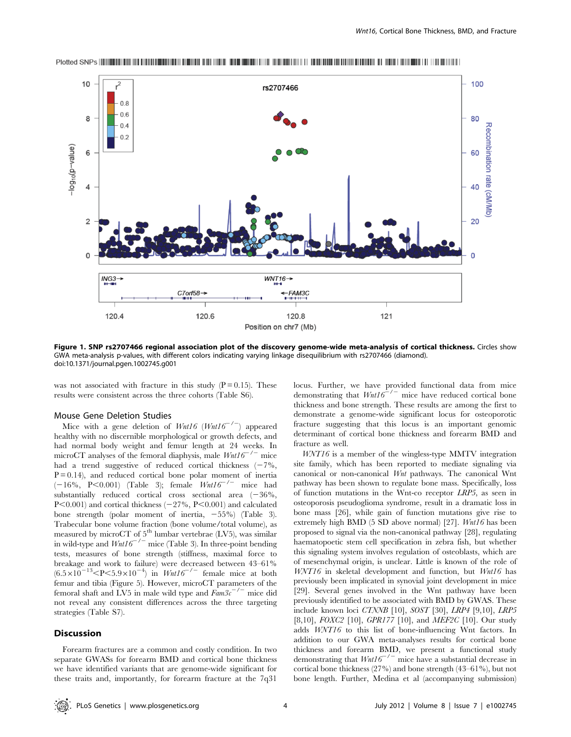

#### 

Figure 1. SNP rs2707466 regional association plot of the discovery genome-wide meta-analysis of cortical thickness. Circles show GWA meta-analysis p-values, with different colors indicating varying linkage disequilibrium with rs2707466 (diamond). doi:10.1371/journal.pgen.1002745.g001

was not associated with fracture in this study  $(P = 0.15)$ . These results were consistent across the three cohorts (Table S6).

## Mouse Gene Deletion Studies

Mice with a gene deletion of  $Wnt16$  ( $Wnt16^{-7}$ ) appeared healthy with no discernible morphological or growth defects, and had normal body weight and femur length at 24 weeks. In microCT analyses of the femoral diaphysis, male  $\textit{Wnt16}^{-/-}$  mice had a trend suggestive of reduced cortical thickness  $(-7\%,$  $P = 0.14$ ), and reduced cortical bone polar moment of inertia  $(-16\%, \text{ P}<0.001)$  (Table 3); female  $Wnt16^{-/-}$  mice had substantially reduced cortical cross sectional area  $(-36\%$ , P $<$ 0.001) and cortical thickness ( $-27\%$ , P $<$ 0.001) and calculated bone strength (polar moment of inertia,  $-55\%$ ) (Table 3). Trabecular bone volume fraction (bone volume/total volume), as measured by microCT of  $5<sup>th</sup>$  lumbar vertebrae (LV5), was similar in wild-type and  $Wnt16^{-/-}$  mice (Table 3). In three-point bending tests, measures of bone strength (stiffness, maximal force to breakage and work to failure) were decreased between 43–61%  $(6.5 \times 10^{-13} < P < 5.9 \times 10^{-4})$  in  $With 6^{-/-}$  female mice at both femur and tibia (Figure 5). However, microCT parameters of the femoral shaft and LV5 in male wild type and  $Fam3c^{-/-}$  mice did not reveal any consistent differences across the three targeting strategies (Table S7).

#### **Discussion**

Forearm fractures are a common and costly condition. In two separate GWASs for forearm BMD and cortical bone thickness we have identified variants that are genome-wide significant for these traits and, importantly, for forearm fracture at the 7q31

locus. Further, we have provided functional data from mice demonstrating that  $Wnt16^{-/-}$  mice have reduced cortical bone thickness and bone strength. These results are among the first to demonstrate a genome-wide significant locus for osteoporotic fracture suggesting that this locus is an important genomic determinant of cortical bone thickness and forearm BMD and fracture as well.

WNT16 is a member of the wingless-type MMTV integration site family, which has been reported to mediate signaling via canonical or non-canonical Wnt pathways. The canonical Wnt pathway has been shown to regulate bone mass. Specifically, loss of function mutations in the Wnt-co receptor LRP5, as seen in osteoporosis pseudoglioma syndrome, result in a dramatic loss in bone mass [26], while gain of function mutations give rise to extremely high BMD (5 SD above normal) [27]. *Wnt16* has been proposed to signal via the non-canonical pathway [28], regulating haematopoetic stem cell specification in zebra fish, but whether this signaling system involves regulation of osteoblasts, which are of mesenchymal origin, is unclear. Little is known of the role of WNT16 in skeletal development and function, but *Wnt16* has previously been implicated in synovial joint development in mice [29]. Several genes involved in the Wnt pathway have been previously identified to be associated with BMD by GWAS. These include known loci CTNNB [10], SOST [30], LRP4 [9,10], LRP5 [8,10], *FOXC2* [10], *GPR177* [10], and *MEF2C* [10]. Our study adds WNT16 to this list of bone-influencing Wnt factors. In addition to our GWA meta-analyses results for cortical bone thickness and forearm BMD, we present a functional study demonstrating that  $Wnt16^{-/-}$  mice have a substantial decrease in cortical bone thickness (27%) and bone strength (43–61%), but not bone length. Further, Medina et al (accompanying submission)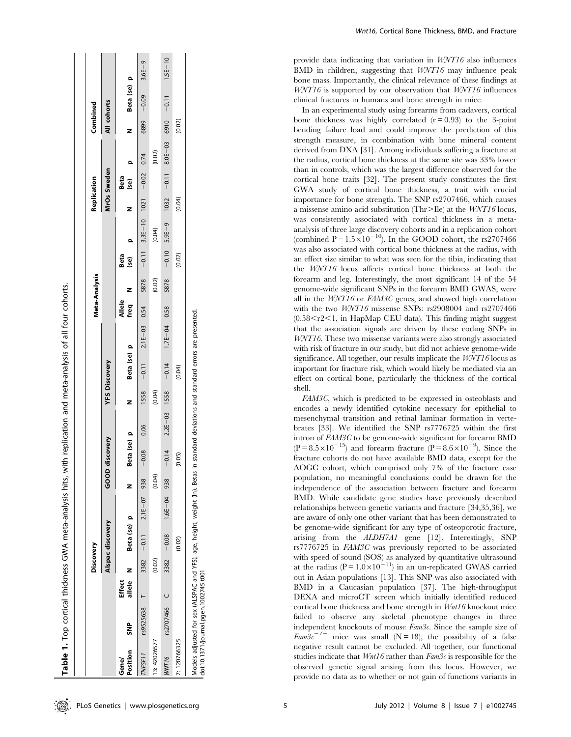|                   |           |                  | Discovery |                  |                 |        |             |                  |        |                      |                  |                | Meta-Analysis |              |                                      | Replication |              |                          | Combined    |             |             |
|-------------------|-----------|------------------|-----------|------------------|-----------------|--------|-------------|------------------|--------|----------------------|------------------|----------------|---------------|--------------|--------------------------------------|-------------|--------------|--------------------------|-------------|-------------|-------------|
|                   |           |                  |           | Alspac discovery |                 | ဓိဝ    | discovery   |                  |        | <b>YFS Discovery</b> |                  |                |               |              |                                      |             | MrOs Sweden  |                          | All cohorts |             |             |
| Position<br>Genel | 훓         | allele<br>Effect | z         | Beta (se) p      |                 |        | Beta (se) p |                  | Z      | Beta (se) p          |                  | freq<br>Allele |               | Beta<br>(se) | Q                                    |             | Beta<br>(se) | Ω                        | z           | Beta (se) p |             |
| TNFSF11           | rs9525638 |                  |           | $3382 - 0.11$    | $2.1E - 07$ 938 |        | $-0.08$     | 0.06             | 1558   | $-0.11$              | $2.1E-03$ 0.54   |                | 5878          |              | $-0.11$ 3.3E $-10$ 1021 $-0.02$ 0.74 |             |              |                          |             | 6899 - 0.09 | $3.6E - 9$  |
| 13: 42026577      |           |                  | (0.02)    |                  |                 | (0.04) |             |                  | (0.04) |                      |                  |                | (0.02)        |              | (0.04)                               |             |              | (0.02)                   |             |             |             |
| WNT16             | rs2707466 |                  |           | $3382 - 0.08$    | $1.6E - 04$ 938 |        | $-0.14$     | $2.2E - 03$ 1558 |        | $-0.14$              | $1.7E - 04$ 0.58 |                | 5878          | $-0.10$      | $5.9E-9$                             | 1032        |              | $-0.11$ 8.0E $-0.3$ 6910 |             | $-0.11$     | $1.5E - 10$ |
| 7:120766325       |           |                  |           | (0.02)           |                 |        | (0.05)      |                  |        | (0.04)               |                  |                |               | (0.02)       |                                      | (0.04)      |              |                          | (0.02)      |             |             |

Wnt16, Cortical Bone Thickness, BMD, and Fracture

provide data indicating that variation in WNT16 also influences BMD in children, suggesting that WNT16 may influence peak bone mass. Importantly, the clinical relevance of these findings at WNT16 is supported by our observation that WNT16 influences clinical fractures in humans and bone strength in mice.

In an experimental study using forearms from cadavers, cortical bone thickness was highly correlated  $(r = 0.93)$  to the 3-point bending failure load and could improve the prediction of this strength measure, in combination with bone mineral content derived from DXA [31]. Among individuals suffering a fracture at the radius, cortical bone thickness at the same site was 33% lower than in controls, which was the largest difference observed for the cortical bone traits [32]. The present study constitutes the first GWA study of cortical bone thickness, a trait with crucial importance for bone strength. The SNP rs2707466, which causes a missense amino acid substitution (Thr $>$ Ile) at the *WNT16* locus, was consistently associated with cortical thickness in a metaanalysis of three large discovery cohorts and in a replication cohort (combined  $P = 1.5 \times 10^{-10}$ ). In the GOOD cohort, the rs2707466 was also associated with cortical bone thickness at the radius, with an effect size similar to what was seen for the tibia, indicating that the WNT16 locus affects cortical bone thickness at both the forearm and leg. Interestingly, the most significant 14 of the 54 genome-wide significant SNPs in the forearm BMD GWAS, were all in the WNT16 or FAM3C genes, and showed high correlation with the two WNT16 missense SNPs: rs2908004 and rs2707466  $(0.58\leq r2\leq 1,$  in HapMap CEU data). This finding might suggest that the association signals are driven by these coding SNPs in WNT16. These two missense variants were also strongly associated with risk of fracture in our study, but did not achieve genome-wide significance. All together, our results implicate the WNT16 locus as important for fracture risk, which would likely be mediated via an effect on cortical bone, particularly the thickness of the cortical shell.

FAM3C, which is predicted to be expressed in osteoblasts and encodes a newly identified cytokine necessary for epithelial to mesenchymal transition and retinal laminar formation in vertebrates [33]. We identified the SNP rs7776725 within the first intron of FAM3C to be genome-wide significant for forearm BMD  $(P = 8.5 \times 10^{-15})$  and forearm fracture  $(P = 8.6 \times 10^{-9})$ . Since the fracture cohorts do not have available BMD data, except for the AOGC cohort, which comprised only 7% of the fracture case population, no meaningful conclusions could be drawn for the independence of the association between fracture and forearm BMD. While candidate gene studies have previously described relationships between genetic variants and fracture [34,35,36], we are aware of only one other variant that has been demonstrated to be genome-wide significant for any type of osteoporotic fracture, arising from the ALDH7A1 gene [12]. Interestingly, SNP rs7776725 in FAM3C was previously reported to be associated with speed of sound (SOS) as analyzed by quantitative ultrasound at the radius ( $P = 1.0 \times 10^{-11}$ ) in an un-replicated GWAS carried out in Asian populations [13]. This SNP was also associated with BMD in a Caucasian population [37]. The high-throughput DEXA and microCT screen which initially identified reduced cortical bone thickness and bone strength in Wnt16 knockout mice failed to observe any skeletal phenotype changes in three independent knockouts of mouse Fam3c. Since the sample size of  $Fam3c^{-/-}$  mice was small (N = 18), the possibility of a false negative result cannot be excluded. All together, our functional studies indicate that  $Wnt16$  rather than  $Fam3c$  is responsible for the observed genetic signal arising from this locus. However, we provide no data as to whether or not gain of functions variants in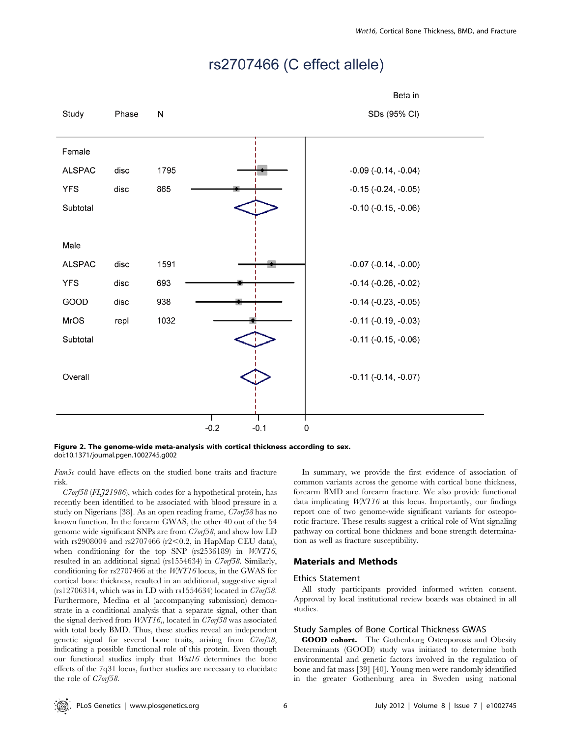

# rs2707466 (C effect allele)

Figure 2. The genome-wide meta-analysis with cortical thickness according to sex. doi:10.1371/journal.pgen.1002745.g002

Fam3c could have effects on the studied bone traits and fracture risk.

C7orf58 (FLJ21986), which codes for a hypothetical protein, has recently been identified to be associated with blood pressure in a study on Nigerians [38]. As an open reading frame, C7orf58 has no known function. In the forearm GWAS, the other 40 out of the 54 genome wide significant SNPs are from C7orf58, and show low LD with rs2908004 and rs2707466 (r2 $<$ 0.2, in HapMap CEU data), when conditioning for the top SNP (rs2536189) in *WNT16*, resulted in an additional signal (rs1554634) in C7orf58. Similarly, conditioning for rs2707466 at the WNT16 locus, in the GWAS for cortical bone thickness, resulted in an additional, suggestive signal (rs12706314, which was in LD with rs1554634) located in C7orf58. Furthermore, Medina et al (accompanying submission) demonstrate in a conditional analysis that a separate signal, other than the signal derived from WNT16,, located in C7orf58 was associated with total body BMD. Thus, these studies reveal an independent genetic signal for several bone traits, arising from C7orf58, indicating a possible functional role of this protein. Even though our functional studies imply that Wnt16 determines the bone effects of the 7q31 locus, further studies are necessary to elucidate the role of C7orf58.

In summary, we provide the first evidence of association of common variants across the genome with cortical bone thickness, forearm BMD and forearm fracture. We also provide functional data implicating WNT16 at this locus. Importantly, our findings report one of two genome-wide significant variants for osteoporotic fracture. These results suggest a critical role of Wnt signaling pathway on cortical bone thickness and bone strength determination as well as fracture susceptibility.

# Materials and Methods

#### Ethics Statement

All study participants provided informed written consent. Approval by local institutional review boards was obtained in all studies.

#### Study Samples of Bone Cortical Thickness GWAS

GOOD cohort. The Gothenburg Osteoporosis and Obesity Determinants (GOOD) study was initiated to determine both environmental and genetic factors involved in the regulation of bone and fat mass [39] [40]. Young men were randomly identified in the greater Gothenburg area in Sweden using national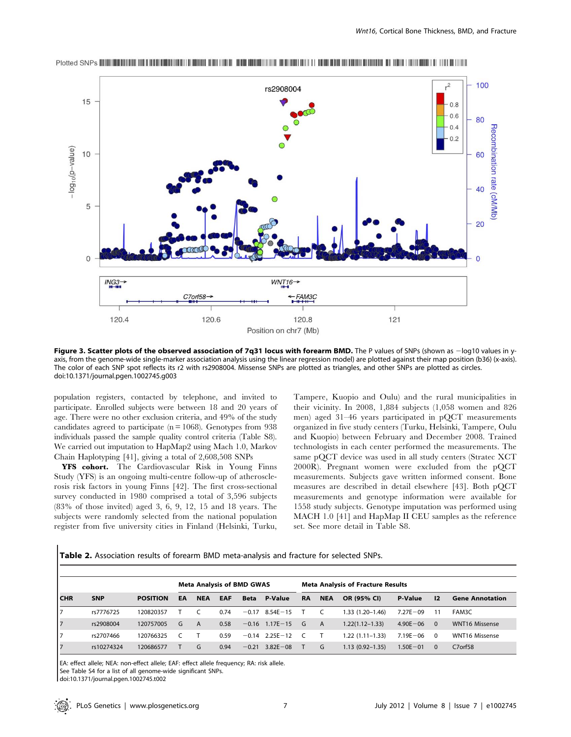

Plotted SNPs MINIMUM AND MINIMUM MINIMUM MINIMUM MINIMUM MINIMUM MINIMUM AND MINIMUM MINIMUM AND MINIMUM MINIMUM MINIMUM MINIMUM

Figure 3. Scatter plots of the observed association of 7q31 locus with forearm BMD. The P values of SNPs (shown as -log10 values in yaxis, from the genome-wide single-marker association analysis using the linear regression model) are plotted against their map position (b36) (x-axis). The color of each SNP spot reflects its r2 with rs2908004. Missense SNPs are plotted as triangles, and other SNPs are plotted as circles. doi:10.1371/journal.pgen.1002745.g003

population registers, contacted by telephone, and invited to participate. Enrolled subjects were between 18 and 20 years of age. There were no other exclusion criteria, and 49% of the study candidates agreed to participate  $(n = 1068)$ . Genotypes from 938 individuals passed the sample quality control criteria (Table S8). We carried out imputation to HapMap2 using Mach 1.0, Markov Chain Haplotyping [41], giving a total of 2,608,508 SNPs

YFS cohort. The Cardiovascular Risk in Young Finns Study (YFS) is an ongoing multi-centre follow-up of atherosclerosis risk factors in young Finns [42]. The first cross-sectional survey conducted in 1980 comprised a total of 3,596 subjects (83% of those invited) aged 3, 6, 9, 12, 15 and 18 years. The subjects were randomly selected from the national population register from five university cities in Finland (Helsinki, Turku,

Tampere, Kuopio and Oulu) and the rural municipalities in their vicinity. In 2008, 1,884 subjects (1,058 women and 826 men) aged 31–46 years participated in pQCT measurements organized in five study centers (Turku, Helsinki, Tampere, Oulu and Kuopio) between February and December 2008. Trained technologists in each center performed the measurements. The same pQCT device was used in all study centers (Stratec XCT 2000R). Pregnant women were excluded from the pQCT measurements. Subjects gave written informed consent. Bone measures are described in detail elsewhere [43]. Both pQCT measurements and genotype information were available for 1558 study subjects. Genotype imputation was performed using MACH 1.0 [41] and HapMap II CEU samples as the reference set. See more detail in Table S8.

Table 2. Association results of forearm BMD meta-analysis and fracture for selected SNPs.

|            |            |                 |    |            |            | <b>Meta Analysis of BMD GWAS</b> |                       |           | <b>Meta Analysis of Fracture Results</b> |                     |                |          |                        |
|------------|------------|-----------------|----|------------|------------|----------------------------------|-----------------------|-----------|------------------------------------------|---------------------|----------------|----------|------------------------|
| <b>CHR</b> | <b>SNP</b> | <b>POSITION</b> | EA | <b>NEA</b> | <b>EAF</b> | <b>Beta</b>                      | P-Value               | <b>RA</b> | <b>NEA</b>                               | OR (95% CI)         | <b>P-Value</b> | 12       | <b>Gene Annotation</b> |
|            | rs7776725  | 120820357       |    |            | 0.74       |                                  | $-0.17$ 8.54E $-15$   |           |                                          | $1.33(1.20-1.46)$   | $7.27E - 09$   | 11       | FAM3C                  |
|            | rs2908004  | 120757005       | G  | A          | 0.58       |                                  | $-0.16$ 1.17E $-15$ G |           | $\overline{A}$                           | $1.22(1.12 - 1.33)$ | $4.90E - 06$   | $\Omega$ | <b>WNT16 Missense</b>  |
|            | rs2707466  | 120766325       |    |            | 0.59       |                                  | $-0.14$ 2.25E $-12$   |           |                                          | $1.22(1.11 - 1.33)$ | $7.19E - 06$   | $\Omega$ | WNT16 Missense         |
|            | rs10274324 | 120686577       |    | G          | 0.94       | $-0.21$                          | $3.82E - 08$          |           | G                                        | $1.13(0.92 - 1.35)$ | $1.50E - 01$   | $\Omega$ | C7orf58                |

EA: effect allele; NEA: non-effect allele; EAF: effect allele frequency; RA: risk allele. See Table S4 for a list of all genome-wide significant SNPs.

doi:10.1371/journal.pgen.1002745.t002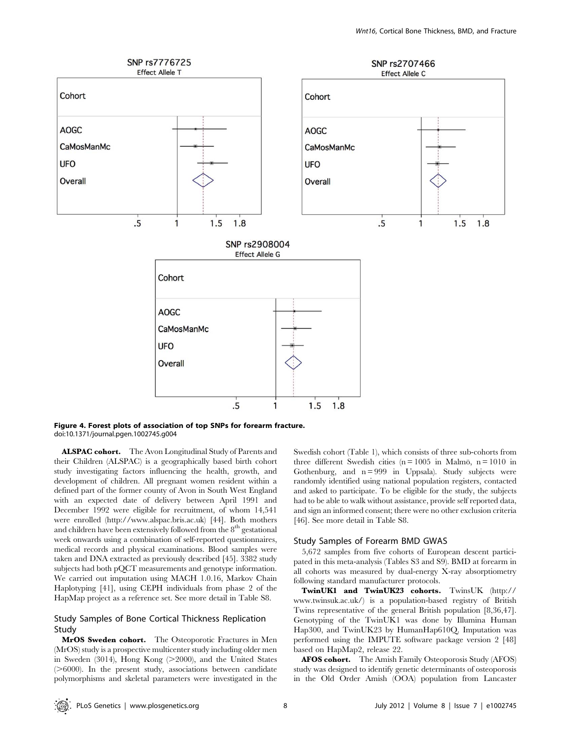

Figure 4. Forest plots of association of top SNPs for forearm fracture. doi:10.1371/journal.pgen.1002745.g004

ALSPAC cohort. The Avon Longitudinal Study of Parents and their Children (ALSPAC) is a geographically based birth cohort study investigating factors influencing the health, growth, and development of children. All pregnant women resident within a defined part of the former county of Avon in South West England with an expected date of delivery between April 1991 and December 1992 were eligible for recruitment, of whom 14,541 were enrolled (http://www.alspac.bris.ac.uk) [44]. Both mothers and children have been extensively followed from the 8<sup>th</sup> gestational week onwards using a combination of self-reported questionnaires, medical records and physical examinations. Blood samples were taken and DNA extracted as previously described [45]. 3382 study subjects had both pQCT measurements and genotype information. We carried out imputation using MACH 1.0.16, Markov Chain Haplotyping [41], using CEPH individuals from phase 2 of the HapMap project as a reference set. See more detail in Table S8.

# Study Samples of Bone Cortical Thickness Replication Study

MrOS Sweden cohort. The Osteoporotic Fractures in Men (MrOS) study is a prospective multicenter study including older men in Sweden (3014), Hong Kong  $(>2000)$ , and the United States  $($ >6000). In the present study, associations between candidate polymorphisms and skeletal parameters were investigated in the Swedish cohort (Table 1), which consists of three sub-cohorts from three different Swedish cities ( $n = 1005$  in Malmö,  $n = 1010$  in Gothenburg, and  $n = 999$  in Uppsala). Study subjects were randomly identified using national population registers, contacted and asked to participate. To be eligible for the study, the subjects had to be able to walk without assistance, provide self reported data, and sign an informed consent; there were no other exclusion criteria [46]. See more detail in Table S8.

#### Study Samples of Forearm BMD GWAS

5,672 samples from five cohorts of European descent participated in this meta-analysis (Tables S3 and S9). BMD at forearm in all cohorts was measured by dual-energy X-ray absorptiometry following standard manufacturer protocols.

TwinUK1 and TwinUK23 cohorts. TwinsUK (http:// www.twinsuk.ac.uk/) is a population-based registry of British Twins representative of the general British population [8,36,47]. Genotyping of the TwinUK1 was done by Illumina Human Hap300, and TwinUK23 by HumanHap610Q. Imputation was performed using the IMPUTE software package version 2 [48] based on HapMap2, release 22.

AFOS cohort. The Amish Family Osteoporosis Study (AFOS) study was designed to identify genetic determinants of osteoporosis in the Old Order Amish (OOA) population from Lancaster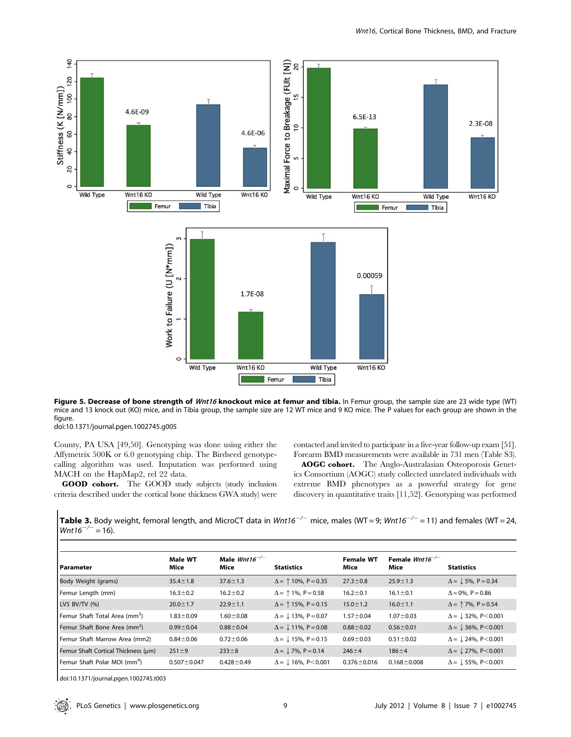

Figure 5. Decrease of bone strength of Wnt16 knockout mice at femur and tibia. In Femur group, the sample size are 23 wide type (WT) mice and 13 knock out (KO) mice, and in Tibia group, the sample size are 12 WT mice and 9 KO mice. The P values for each group are shown in the figure.

doi:10.1371/journal.pgen.1002745.g005

County, PA USA [49,50]. Genotyping was done using either the Affymetrix 500K or 6.0 genotyping chip. The Birdseed genotypecalling algorithm was used. Imputation was performed using MACH on the HapMap2, rel 22 data.

contacted and invited to participate in a five-year follow-up exam [51]. Forearm BMD measurements were available in 731 men (Table S3).

AOGC cohort. The Anglo-Australasian Osteoporosis Genetics Consortium (AOGC) study collected unrelated individuals with extreme BMD phenotypes as a powerful strategy for gene discovery in quantitative traits [11,52]. Genotyping was performed

GOOD cohort. The GOOD study subjects (study inclusion criteria described under the cortical bone thickness GWA study) were

**Table 3.** Body weight, femoral length, and MicroCT data in Wnt16<sup>-/-</sup> mice, males (WT = 9; Wnt16<sup>-/-</sup> = 11) and females (WT = 24,  $Wnt16^{-/-} = 16$ .

| l Parameter                               | Male WT<br>Mice   | Male $Wnt16^{-/-}$<br>Mice | <b>Statistics</b>                     | <b>Female WT</b><br>Mice | Female $Wnt16^{-/-}$<br>Mice | <b>Statistics</b>                    |
|-------------------------------------------|-------------------|----------------------------|---------------------------------------|--------------------------|------------------------------|--------------------------------------|
| Body Weight (grams)                       | $35.4 \pm 1.8$    | $37.6 \pm 1.3$             | $\Delta$ = $\uparrow$ 10%, P = 0.35   | $27.3 \pm 0.8$           | $25.9 \pm 1.3$               | $\Delta = \sqrt{5\%}$ , P = 0.34     |
| Femur Length (mm)                         | $16.3 \pm 0.2$    | $16.2 \pm 0.2$             | $\Delta = \uparrow 1\%$ , P = 0.58    | $16.2 \pm 0.1$           | $16.1 \pm 0.1$               | $\Delta = 0\%$ , P = 0.86            |
| LV5 BV/TV (%)                             | $20.0 \pm 1.7$    | $22.9 \pm 1.1$             | $\Delta = \uparrow 15\%$ , P = 0.15   | $15.0 \pm 1.2$           | $16.0 \pm 1.1$               | $\Delta = \uparrow$ 7%, P = 0.54     |
| Femur Shaft Total Area (mm <sup>2</sup> ) | $1.83 \pm 0.09$   | $1.60 \pm 0.08$            | $\Delta = \downarrow 13\%$ , P = 0.07 | $1.57 \pm 0.04$          | $1.07 \pm 0.03$              | $\Delta = \downarrow$ 32%, P<0.001   |
| Femur Shaft Bone Area (mm <sup>2</sup> )  | $0.99 \pm 0.04$   | $0.88 \pm 0.04$            | $\Delta = \downarrow 11\%$ , P = 0.08 | $0.88 + 0.02$            | $0.56 \pm 0.01$              | $\Delta = \sqrt{36\%}$ , P<0.001     |
| Femur Shaft Marrow Area (mm2)             | $0.84 \pm 0.06$   | $0.72 \pm 0.06$            | $\Delta = \downarrow 15\%$ , P = 0.15 | $0.69 + 0.03$            | $0.51 \pm 0.02$              | $\Delta = \downarrow$ 24%, P<0.001   |
| Femur Shaft Cortical Thickness (um)       | $251 \pm 9$       | $233 \pm 8$                | $\Delta = \sqrt{7\%}$ , P = 0.14      | $246 \pm 4$              | $186 + 4$                    | $\Delta = \sqrt{27\%}$ , P<0.001     |
| Femur Shaft Polar MOI (mm <sup>4</sup> )  | $0.507 \pm 0.047$ | $0.428 \pm 0.49$           | $\Delta = \downarrow 16\%$ , P<0.001  | $0.376 \pm 0.016$        | $0.168 \pm 0.008$            | $\Delta = \downarrow 55\%$ , P<0.001 |

doi:10.1371/journal.pgen.1002745.t003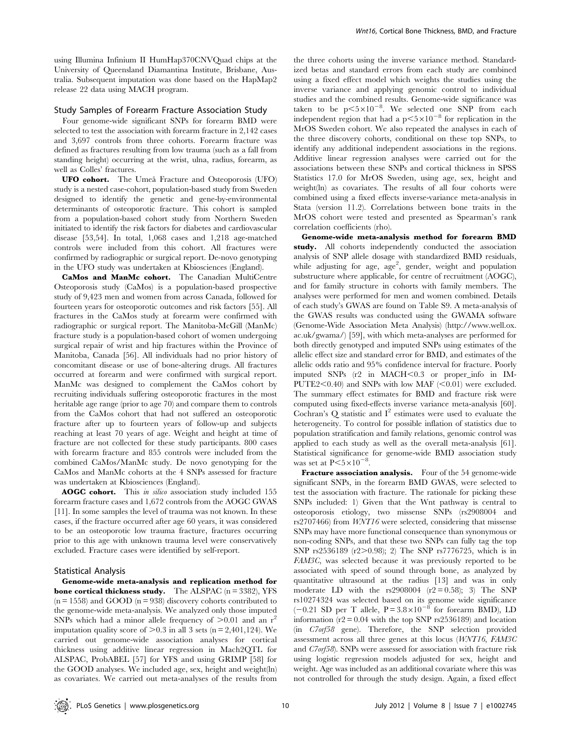using Illumina Infinium II HumHap370CNVQuad chips at the University of Queensland Diamantina Institute, Brisbane, Australia. Subsequent imputation was done based on the HapMap2 release 22 data using MACH program.

# Study Samples of Forearm Fracture Association Study

Four genome-wide significant SNPs for forearm BMD were selected to test the association with forearm fracture in 2,142 cases and 3,697 controls from three cohorts. Forearm fracture was defined as fractures resulting from low trauma (such as a fall from standing height) occurring at the wrist, ulna, radius, forearm, as well as Colles' fractures.

UFO cohort. The Umeå Fracture and Osteoporosis (UFO) study is a nested case-cohort, population-based study from Sweden designed to identify the genetic and gene-by-environmental determinants of osteoporotic fracture. This cohort is sampled from a population-based cohort study from Northern Sweden initiated to identify the risk factors for diabetes and cardiovascular disease [53,54]. In total, 1,068 cases and 1,218 age-matched controls were included from this cohort. All fractures were confirmed by radiographic or surgical report. De-novo genotyping in the UFO study was undertaken at Kbiosciences (England).

CaMos and ManMc cohort. The Canadian MultiCentre Osteoporosis study (CaMos) is a population-based prospective study of 9,423 men and women from across Canada, followed for fourteen years for osteoporotic outcomes and risk factors [55]. All fractures in the CaMos study at forearm were confirmed with radiographic or surgical report. The Manitoba-McGill (ManMc) fracture study is a population-based cohort of women undergoing surgical repair of wrist and hip fractures within the Province of Manitoba, Canada [56]. All individuals had no prior history of concomitant disease or use of bone-altering drugs. All fractures occurred at forearm and were confirmed with surgical report. ManMc was designed to complement the CaMos cohort by recruiting individuals suffering osteoporotic fractures in the most heritable age range (prior to age 70) and compare them to controls from the CaMos cohort that had not suffered an osteoporotic fracture after up to fourteen years of follow-up and subjects reaching at least 70 years of age. Weight and height at time of fracture are not collected for these study participants. 800 cases with forearm fracture and 855 controls were included from the combined CaMos/ManMc study. De novo genotyping for the CaMos and ManMc cohorts at the 4 SNPs assessed for fracture was undertaken at Kbiosciences (England).

AOGC cohort. This in silico association study included 155 forearm fracture cases and 1,672 controls from the AOGC GWAS [11]. In some samples the level of trauma was not known. In these cases, if the fracture occurred after age 60 years, it was considered to be an osteoporotic low trauma fracture, fractures occurring prior to this age with unknown trauma level were conservatively excluded. Fracture cases were identified by self-report.

#### Statistical Analysis

Genome-wide meta-analysis and replication method for **bone cortical thickness study.** The ALSPAC  $(n = 3382)$ , YFS  $(n = 1558)$  and GOOD  $(n = 938)$  discovery cohorts contributed to the genome-wide meta-analysis. We analyzed only those imputed SNPs which had a minor allele frequency of  $>0.01$  and an r<sup>2</sup> imputation quality score of  $> 0.3$  in all 3 sets (n = 2,401,124). We carried out genome-wide association analyses for cortical thickness using additive linear regression in Mach2QTL for ALSPAC, ProbABEL [57] for YFS and using GRIMP [58] for the GOOD analyses. We included age, sex, height and weight(ln) as covariates. We carried out meta-analyses of the results from

the three cohorts using the inverse variance method. Standardized betas and standard errors from each study are combined using a fixed effect model which weights the studies using the inverse variance and applying genomic control to individual studies and the combined results. Genome-wide significance was taken to be  $p<5\times10^{-8}$ . We selected one SNP from each independent region that had a  $p < 5 \times 10^{-8}$  for replication in the MrOS Sweden cohort. We also repeated the analyses in each of the three discovery cohorts, conditional on these top SNPs, to identify any additional independent associations in the regions. Additive linear regression analyses were carried out for the associations between these SNPs and cortical thickness in SPSS Statistics 17.0 for MrOS Sweden, using age, sex, height and weight(ln) as covariates. The results of all four cohorts were combined using a fixed effects inverse-variance meta-analysis in Stata (version 11.2). Correlations between bone traits in the MrOS cohort were tested and presented as Spearman's rank correlation coefficients (rho).

Genome-wide meta-analysis method for forearm BMD study. All cohorts independently conducted the association analysis of SNP allele dosage with standardized BMD residuals, while adjusting for age, age<sup>2</sup>, gender, weight and population substructure where applicable, for centre of recruitment (AOGC), and for family structure in cohorts with family members. The analyses were performed for men and women combined. Details of each study's GWAS are found on Table S9. A meta-analysis of the GWAS results was conducted using the GWAMA software (Genome-Wide Association Meta Analysis) (http://www.well.ox. ac.uk/gwama/) [59], with which meta-analyses are performed for both directly genotyped and imputed SNPs using estimates of the allelic effect size and standard error for BMD, and estimates of the allelic odds ratio and 95% confidence interval for fracture. Poorly imputed SNPs  $(r2 \text{ in } MACH \leq 0.3 \text{ or } proper\_info \text{ in } IM-$ PUTE2<0.40) and SNPs with low MAF  $(\leq 0.01)$  were excluded. The summary effect estimates for BMD and fracture risk were computed using fixed-effects inverse variance meta-analysis [60]. Cochran's  $Q$  statistic and  $I^2$  estimates were used to evaluate the heterogeneity. To control for possible inflation of statistics due to population stratification and family relations, genomic control was applied to each study as well as the overall meta-analysis [61]. Statistical significance for genome-wide BMD association study was set at  $P \leq 5 \times 10^{-8}$ .

Fracture association analysis. Four of the 54 genome-wide significant SNPs, in the forearm BMD GWAS, were selected to test the association with fracture. The rationale for picking these SNPs included: 1) Given that the Wnt pathway is central to osteoporosis etiology, two missense SNPs (rs2908004 and rs2707466) from WNT16 were selected, considering that missense SNPs may have more functional consequence than synonymous or non-coding SNPs, and that these two SNPs can fully tag the top SNP rs2536189 (r2>0.98); 2) The SNP rs7776725, which is in FAM3C, was selected because it was previously reported to be associated with speed of sound through bone, as analyzed by quantitative ultrasound at the radius [13] and was in only moderate LD with the  $rs2908004$   $(r2 = 0.58)$ ; 3) The SNP rs10274324 was selected based on its genome wide significance  $(-0.21$  SD per T allele, P =  $3.8 \times 10^{-8}$  for forearm BMD), LD information  $(r2 = 0.04$  with the top SNP rs2536189) and location (in C7orf58 gene). Therefore, the SNP selection provided assessment across all three genes at this locus (WNT16, FAM3C and C7orf58). SNPs were assessed for association with fracture risk using logistic regression models adjusted for sex, height and weight. Age was included as an additional covariate where this was not controlled for through the study design. Again, a fixed effect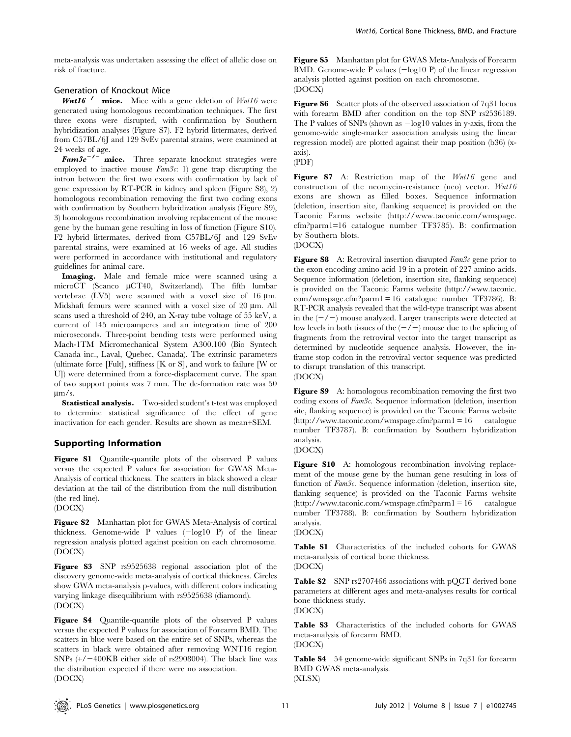meta-analysis was undertaken assessing the effect of allelic dose on risk of fracture.

# Generation of Knockout Mice

**Wnt16<sup>-/-</sup>** mice. Mice with a gene deletion of  $Wnt16$  were generated using homologous recombination techniques. The first three exons were disrupted, with confirmation by Southern hybridization analyses (Figure S7). F2 hybrid littermates, derived from C57BL/6J and 129 SvEv parental strains, were examined at 24 weeks of age.

 $Fam3c^{-1}$  mice. Three separate knockout strategies were employed to inactive mouse  $Fam3c$ : 1) gene trap disrupting the intron between the first two exons with confirmation by lack of gene expression by RT-PCR in kidney and spleen (Figure S8), 2) homologous recombination removing the first two coding exons with confirmation by Southern hybridization analysis (Figure S9), 3) homologous recombination involving replacement of the mouse gene by the human gene resulting in loss of function (Figure S10). F2 hybrid littermates, derived from C57BL/6J and 129 SvEv parental strains, were examined at 16 weeks of age. All studies were performed in accordance with institutional and regulatory guidelines for animal care.

Imaging. Male and female mice were scanned using a microCT (Scanco µCT40, Switzerland). The fifth lumbar vertebrae  $(LV5)$  were scanned with a voxel size of 16  $\mu$ m. Midshaft femurs were scanned with a voxel size of 20  $\mu$ m. All scans used a threshold of 240, an X-ray tube voltage of 55 keV, a current of 145 microamperes and an integration time of 200 microseconds. Three-point bending tests were performed using Mach-1TM Micromechanical System A300.100 (Bio Syntech Canada inc., Laval, Quebec, Canada). The extrinsic parameters (ultimate force [Fult], stiffness [K or S], and work to failure [W or U]) were determined from a force-displacement curve. The span of two support points was 7 mm. The de-formation rate was 50  $\mu$ m/s.

Statistical analysis. Two-sided student's t-test was employed to determine statistical significance of the effect of gene inactivation for each gender. Results are shown as mean+SEM.

# Supporting Information

Figure S1 Quantile-quantile plots of the observed P values versus the expected P values for association for GWAS Meta-Analysis of cortical thickness. The scatters in black showed a clear deviation at the tail of the distribution from the null distribution (the red line). (DOCX)

Figure S2 Manhattan plot for GWAS Meta-Analysis of cortical thickness. Genome-wide P values  $(-\log 10 \text{ P})$  of the linear regression analysis plotted against position on each chromosome. (DOCX)

Figure S3 SNP rs9525638 regional association plot of the discovery genome-wide meta-analysis of cortical thickness. Circles show GWA meta-analysis p-values, with different colors indicating varying linkage disequilibrium with rs9525638 (diamond). (DOCX)

Figure S4 Quantile-quantile plots of the observed P values versus the expected P values for association of Forearm BMD. The scatters in blue were based on the entire set of SNPs, whereas the scatters in black were obtained after removing WNT16 region SNPs  $(+/-400KB$  either side of rs2908004). The black line was the distribution expected if there were no association. (DOCX)

Figure S5 Manhattan plot for GWAS Meta-Analysis of Forearm BMD. Genome-wide P values  $(-\log 10 \text{ P})$  of the linear regression analysis plotted against position on each chromosome. (DOCX)

Figure S6 Scatter plots of the observed association of 7q31 locus with forearm BMD after condition on the top SNP rs2536189. The P values of SNPs (shown as  $-\log 10$  values in y-axis, from the genome-wide single-marker association analysis using the linear regression model) are plotted against their map position (b36) (xaxis).

Figure S7 A: Restriction map of the *Wnt16* gene and construction of the neomycin-resistance (neo) vector. Wnt16 exons are shown as filled boxes. Sequence information (deletion, insertion site, flanking sequence) is provided on the Taconic Farms website (http://www.taconic.com/wmspage. cfm?parm1=16 catalogue number TF3785). B: confirmation by Southern blots. (DOCX)

**Figure S8** A: Retroviral insertion disrupted  $Fam3c$  gene prior to the exon encoding amino acid 19 in a protein of 227 amino acids. Sequence information (deletion, insertion site, flanking sequence) is provided on the Taconic Farms website (http://www.taconic. com/wmspage.cfm?parm1 = 16 catalogue number TF3786). B: RT-PCR analysis revealed that the wild-type transcript was absent in the  $(-/-)$  mouse analyzed. Larger transcripts were detected at low levels in both tissues of the  $(-/-)$  mouse due to the splicing of fragments from the retroviral vector into the target transcript as determined by nucleotide sequence analysis. However, the inframe stop codon in the retroviral vector sequence was predicted to disrupt translation of this transcript. (DOCX)

Figure S9 A: homologous recombination removing the first two coding exons of Fam3c. Sequence information (deletion, insertion site, flanking sequence) is provided on the Taconic Farms website  $(\text{http://www.taconic.com/wmspage.cfm?parml} = 16$  catalogue number TF3787). B: confirmation by Southern hybridization analysis.

(DOCX)

Figure S10 A: homologous recombination involving replacement of the mouse gene by the human gene resulting in loss of function of Fam3c. Sequence information (deletion, insertion site, flanking sequence) is provided on the Taconic Farms website  $(\text{http://www.taconic.com/wmspage.cfm?parm1} = 16$  catalogue number TF3788). B: confirmation by Southern hybridization analysis.



Table S1 Characteristics of the included cohorts for GWAS meta-analysis of cortical bone thickness. (DOCX)

Table S2 SNP rs2707466 associations with pQCT derived bone parameters at different ages and meta-analyses results for cortical bone thickness study. (DOCX)

Table S3 Characteristics of the included cohorts for GWAS meta-analysis of forearm BMD. (DOCX)

Table S4 54 genome-wide significant SNPs in 7q31 for forearm BMD GWAS meta-analysis. (XLSX)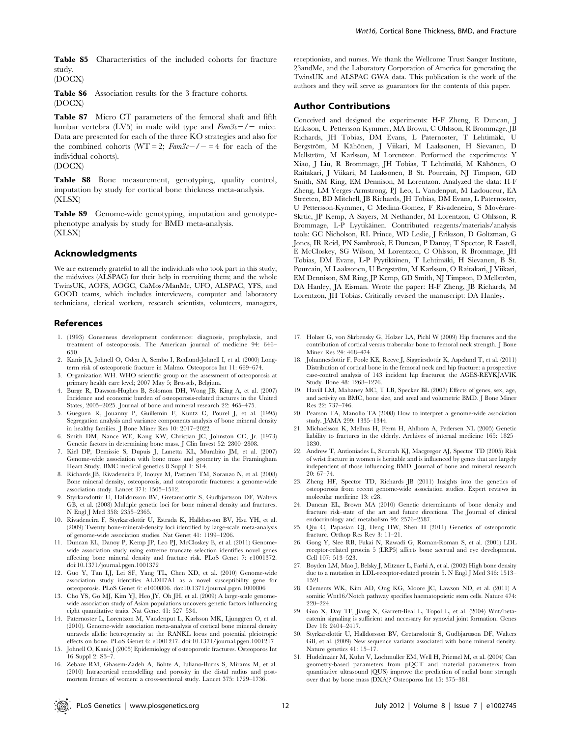Table S5 Characteristics of the included cohorts for fracture study.

(DOCX)

Table S6 Association results for the 3 fracture cohorts. (DOCX)

Table S7 Micro CT parameters of the femoral shaft and fifth lumbar vertebra (LV5) in male wild type and  $Fam3c-/-$  mice. Data are presented for each of the three KO strategies and also for the combined cohorts (WT = 2;  $Fam3c-/- = 4$  for each of the individual cohorts).

(DOCX)

Table S8 Bone measurement, genotyping, quality control, imputation by study for cortical bone thickness meta-analysis. (XLSX)

Table S9 Genome-wide genotyping, imputation and genotypephenotype analysis by study for BMD meta-analysis. (XLSX)

# Acknowledgments

We are extremely grateful to all the individuals who took part in this study; the midwives (ALSPAC) for their help in recruiting them; and the whole TwinsUK, AOFS, AOGC, CaMos/ManMc, UFO, ALSPAC, YFS, and GOOD teams, which includes interviewers, computer and laboratory technicians, clerical workers, research scientists, volunteers, managers,

#### References

- 1. (1993) Consensus development conference: diagnosis, prophylaxis, and treatment of osteoporosis. The American journal of medicine 94: 646– 650.
- 2. Kanis JA, Johnell O, Oden A, Sembo I, Redlund-Johnell I, et al. (2000) Longterm risk of osteoporotic fracture in Malmo. Osteoporos Int 11: 669–674.
- 3. Organization WH. WHO scientific group on the assessment of osteoporosis at primary health care level; 2007 May 5; Brussels, Belgium.
- 4. Burge R, Dawson-Hughes B, Solomon DH, Wong JB, King A, et al. (2007) Incidence and economic burden of osteoporosis-related fractures in the United States, 2005–2025. Journal of bone and mineral research 22: 465–475.
- 5. Gueguen R, Jouanny P, Guillemin F, Kuntz C, Pourel J, et al. (1995) Segregation analysis and variance components analysis of bone mineral density in healthy families. J Bone Miner Res 10: 2017–2022.
- 6. Smith DM, Nance WE, Kang KW, Christian JC, Johnston CC, Jr. (1973) Genetic factors in determining bone mass. J Clin Invest 52: 2800–2808.
- 7. Kiel DP, Demissie S, Dupuis J, Lunetta KL, Murabito JM, et al. (2007) Genome-wide association with bone mass and geometry in the Framingham Heart Study. BMC medical genetics 8 Suppl 1: S14.
- 8. Richards JB, Rivadeneira F, Inouye M, Pastinen TM, Soranzo N, et al. (2008) Bone mineral density, osteoporosis, and osteoporotic fractures: a genome-wide association study. Lancet 371: 1505–1512.
- 9. Styrkarsdottir U, Halldorsson BV, Gretarsdottir S, Gudbjartsson DF, Walters GB, et al. (2008) Multiple genetic loci for bone mineral density and fractures. N Engl J Med 358: 2355–2365.
- 10. Rivadeneira F, Styrkarsdottir U, Estrada K, Halldorsson BV, Hsu YH, et al. (2009) Twenty bone-mineral-density loci identified by large-scale meta-analysis of genome-wide association studies. Nat Genet 41: 1199–1206.
- 11. Duncan EL, Danoy P, Kemp JP, Leo PJ, McCloskey E, et al. (2011) Genomewide association study using extreme truncate selection identifies novel genes affecting bone mineral density and fracture risk. PLoS Genet 7: e1001372. doi:10.1371/journal.pgen.1001372
- 12. Guo Y, Tan LJ, Lei SF, Yang TL, Chen XD, et al. (2010) Genome-wide association study identifies ALDH7A1 as a novel susceptibility gene for osteoporosis. PLoS Genet 6: e1000806. doi:10.1371/journal.pgen.1000806
- 13. Cho YS, Go MJ, Kim YJ, Heo JY, Oh JH, et al. (2009) A large-scale genomewide association study of Asian populations uncovers genetic factors influencing eight quantitative traits. Nat Genet 41: 527–534.
- 14. Paternoster L, Lorentzon M, Vandenput L, Karlsson MK, Ljunggren O, et al. (2010). Genome-wide association meta-analysis of cortical bone mineral density unravels allelic heterogeneity at the RANKL locus and potential pleiotropic effects on bone. PLoS Genet 6: e1001217. doi:10.1371/journal.pgen.1001217
- 15. Johnell O, Kanis J (2005) Epidemiology of osteoporotic fractures. Osteoporos Int 16 Suppl 2: S3–7.
- 16. Zebaze RM, Ghasem-Zadeh A, Bohte A, Iuliano-Burns S, Mirams M, et al. (2010) Intracortical remodelling and porosity in the distal radius and postmortem femurs of women: a cross-sectional study. Lancet 375: 1729–1736.

receptionists, and nurses. We thank the Wellcome Trust Sanger Institute, 23andMe, and the Laboratory Corporation of America for generating the TwinsUK and ALSPAC GWA data. This publication is the work of the authors and they will serve as guarantors for the contents of this paper.

# Author Contributions

Conceived and designed the experiments: H-F Zheng, E Duncan, J Eriksson, U Pettersson-Kymmer, MA Brown, C Ohlsson, R Brommage, JB Richards, JH Tobias, DM Evans, L Paternoster, T Lehtimäki, U Bergström, M Kähönen, J Viikari, M Laaksonen, H Sievanen, D Mellström, M Karlsson, M Lorentzon. Performed the experiments: Y Xiao, J Liu, R Brommage, JH Tobias, T Lehtimäki, M Kähönen, O Raitakari, J Viikari, M Laaksonen, B St. Pourcain, NJ Timpson, GD Smith, SM Ring, EM Dennison, M Lorentzon. Analyzed the data: H-F Zheng, LM Yerges-Armstrong, PJ Leo, L Vandenput, M Ladouceur, EA Streeten, BD Mitchell, JB Richards, JH Tobias, DM Evans, L Paternoster, U Pettersson-Kymmer, C Medina-Gomez, F Rivadeneira, S Movérare-Skrtic, JP Kemp, A Sayers, M Nethander, M Lorentzon, C Ohlsson, R Brommage, L-P Lyytikäinen. Contributed reagents/materials/analysis tools: GC Nicholson, RL Prince, WD Leslie, J Eriksson, D Goltzman, G Jones, IR Reid, PN Sambrook, E Duncan, P Danoy, T Spector, R Eastell, E McCloskey, SG Wilson, M Lorentzon, C Ohlsson, R Brommage, JH Tobias, DM Evans, L-P Pyytikäinen, T Lehtimäki, H Sievanen, B St. Pourcain, M Laaksonen, U Bergström, M Karlsson, O Raitakari, J Viikari, EM Dennison, SM Ring, JP Kemp, GD Smith, NJ Timpson, D Mellström, DA Hanley, JA Eisman. Wrote the paper: H-F Zheng, JB Richards, M Lorentzon, JH Tobias. Critically revised the manuscript: DA Hanley.

- 17. Holzer G, von Skrbensky G, Holzer LA, Pichl W (2009) Hip fractures and the contribution of cortical versus trabecular bone to femoral neck strength. J Bone Miner Res 24: 468–474.
- 18. Johannesdottir F, Poole KE, Reeve J, Siggeirsdottir K, Aspelund T, et al. (2011) Distribution of cortical bone in the femoral neck and hip fracture: a prospective case-control analysis of 143 incident hip fractures; the AGES-REYKJAVIK Study. Bone 48: 1268–1276.
- 19. Havill LM, Mahaney MC, T LB, Specker BL (2007) Effects of genes, sex, age, and activity on BMC, bone size, and areal and volumetric BMD. J Bone Miner Res 22: 737–746.
- 20. Pearson TA, Manolio TA (2008) How to interpret a genome-wide association study. JAMA 299: 1335–1344.
- 21. Michaelsson K, Melhus H, Ferm H, Ahlbom A, Pedersen NL (2005) Genetic liability to fractures in the elderly. Archives of internal medicine 165: 1825– 1830.
- 22. Andrew T, Antioniades L, Scurrah KJ, Macgregor AJ, Spector TD (2005) Risk of wrist fracture in women is heritable and is influenced by genes that are largely independent of those influencing BMD. Journal of bone and mineral research 20: 67–74.
- 23. Zheng HF, Spector TD, Richards JB (2011) Insights into the genetics of osteoporosis from recent genome-wide association studies. Expert reviews in molecular medicine 13: e28.
- 24. Duncan EL, Brown MA (2010) Genetic determinants of bone density and fracture risk–state of the art and future directions. The Journal of clinical endocrinology and metabolism 95: 2576–2587.
- 25. Qiu C, Papasian CJ, Deng HW, Shen H (2011) Genetics of osteoporotic fracture. Orthop Res Rev 3: 11–21.
- 26. Gong Y, Slee RB, Fukai N, Rawadi G, Roman-Roman S, et al. (2001) LDL receptor-related protein 5 (LRP5) affects bone accrual and eye development. Cell 107: 513–523.
- 27. Boyden LM, Mao J, Belsky J, Mitzner L, Farhi A, et al. (2002) High bone density due to a mutation in LDL-receptor-related protein 5. N Engl J Med 346: 1513– 1521.
- 28. Clements WK, Kim AD, Ong KG, Moore JC, Lawson ND, et al. (2011) A somitic Wnt16/Notch pathway specifies haematopoietic stem cells. Nature 474: 220–224.
- 29. Guo X, Day TF, Jiang X, Garrett-Beal L, Topol L, et al. (2004) Wnt/betacatenin signaling is sufficient and necessary for synovial joint formation. Genes Dev 18: 2404–2417.
- 30. Styrkarsdottir U, Halldorsson BV, Gretarsdottir S, Gudbjartsson DF, Walters GB, et al. (2009) New sequence variants associated with bone mineral density. Nature genetics 41: 15–17.
- 31. Hudelmaier M, Kuhn V, Lochmuller EM, Well H, Priemel M, et al. (2004) Can geometry-based parameters from pQCT and material parameters from quantitative ultrasound (QUS) improve the prediction of radial bone strength over that by bone mass (DXA)? Osteoporos Int 15: 375–381.